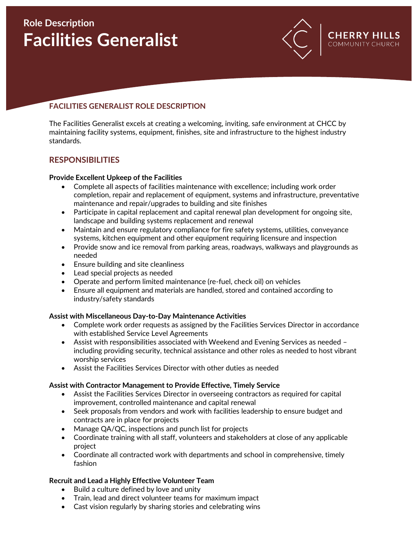# **Role Description Facilities Generalist**



**COMMUN** 

## **FACILITIES GENERALIST ROLE DESCRIPTION**

The Facilities Generalist excels at creating a welcoming, inviting, safe environment at CHCC by maintaining facility systems, equipment, finishes, site and infrastructure to the highest industry standards.

## **RESPONSIBILITIES**

#### **Provide Excellent Upkeep of the Facilities**

- Complete all aspects of facilities maintenance with excellence; including work order completion, repair and replacement of equipment, systems and infrastructure, preventative maintenance and repair/upgrades to building and site finishes
- Participate in capital replacement and capital renewal plan development for ongoing site, landscape and building systems replacement and renewal
- Maintain and ensure regulatory compliance for fire safety systems, utilities, conveyance systems, kitchen equipment and other equipment requiring licensure and inspection
- Provide snow and ice removal from parking areas, roadways, walkways and playgrounds as needed
- Ensure building and site cleanliness
- Lead special projects as needed
- Operate and perform limited maintenance (re-fuel, check oil) on vehicles
- Ensure all equipment and materials are handled, stored and contained according to industry/safety standards

#### **Assist with Miscellaneous Day-to-Day Maintenance Activities**

- Complete work order requests as assigned by the Facilities Services Director in accordance with established Service Level Agreements
- Assist with responsibilities associated with Weekend and Evening Services as needed including providing security, technical assistance and other roles as needed to host vibrant worship services
- Assist the Facilities Services Director with other duties as needed

#### **Assist with Contractor Management to Provide Effective, Timely Service**

- Assist the Facilities Services Director in overseeing contractors as required for capital improvement, controlled maintenance and capital renewal
- Seek proposals from vendors and work with facilities leadership to ensure budget and contracts are in place for projects
- Manage QA/QC, inspections and punch list for projects
- Coordinate training with all staff, volunteers and stakeholders at close of any applicable project
- Coordinate all contracted work with departments and school in comprehensive, timely fashion

#### **Recruit and Lead a Highly Effective Volunteer Team**

- Build a culture defined by love and unity
- Train, lead and direct volunteer teams for maximum impact
- Cast vision regularly by sharing stories and celebrating wins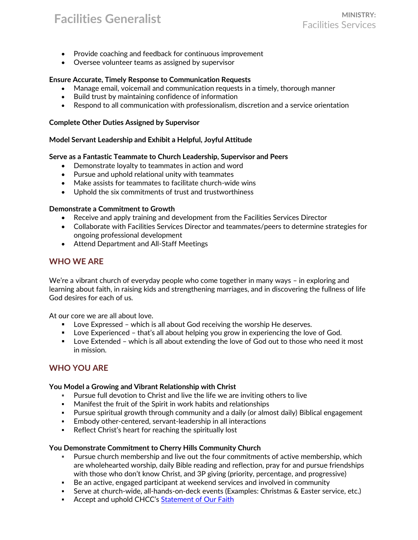## **Facilities Generalist MINISTRY:**

- Provide coaching and feedback for continuous improvement
- Oversee volunteer teams as assigned by supervisor

#### **Ensure Accurate, Timely Response to Communication Requests**

- Manage email, voicemail and communication requests in a timely, thorough manner
- Build trust by maintaining confidence of information
- Respond to all communication with professionalism, discretion and a service orientation

#### **Complete Other Duties Assigned by Supervisor**

#### **Model Servant Leadership and Exhibit a Helpful, Joyful Attitude**

#### **Serve as a Fantastic Teammate to Church Leadership, Supervisor and Peers**

- Demonstrate loyalty to teammates in action and word
- Pursue and uphold relational unity with teammates
- Make assists for teammates to facilitate church-wide wins
- Uphold the six commitments of trust and trustworthiness

#### **Demonstrate a Commitment to Growth**

- Receive and apply training and development from the Facilities Services Director
- Collaborate with Facilities Services Director and teammates/peers to determine strategies for ongoing professional development
- Attend Department and All-Staff Meetings

## **WHO WE ARE**

We're a vibrant church of everyday people who come together in many ways – in exploring and learning about faith, in raising kids and strengthening marriages, and in discovering the fullness of life God desires for each of us.

At our core we are all about love.

- Love Expressed which is all about God receiving the worship He deserves.
- **■** Love Experienced that's all about helping you grow in experiencing the love of God.
- Love Extended which is all about extending the love of God out to those who need it most in mission.

## **WHO YOU ARE**

#### **You Model a Growing and Vibrant Relationship with Christ**

- Pursue full devotion to Christ and live the life we are inviting others to live
- Manifest the fruit of the Spirit in work habits and relationships
- Pursue spiritual growth through community and a daily (or almost daily) Biblical engagement
- **Embody other-centered, servant-leadership in all interactions**
- Reflect Christ's heart for reaching the spiritually lost

#### **You Demonstrate Commitment to Cherry Hills Community Church**

- Pursue church membership and live out the four commitments of active membership, which are wholehearted worship, daily Bible reading and reflection, pray for and pursue friendships with those who don't know Christ, and 3P giving (priority, percentage, and progressive)
- Be an active, engaged participant at weekend services and involved in community
- **EXECT:** Serve at church-wide, all-hands-on-deck events (Examples: Christmas & Easter service, etc.)
- **EXECT** Accept and uphold CHCC's [Statement of Our Faith](https://chcc.org/wp-content/uploads/2018/03/StatementOfFaith_0318_FINAL.pdf)